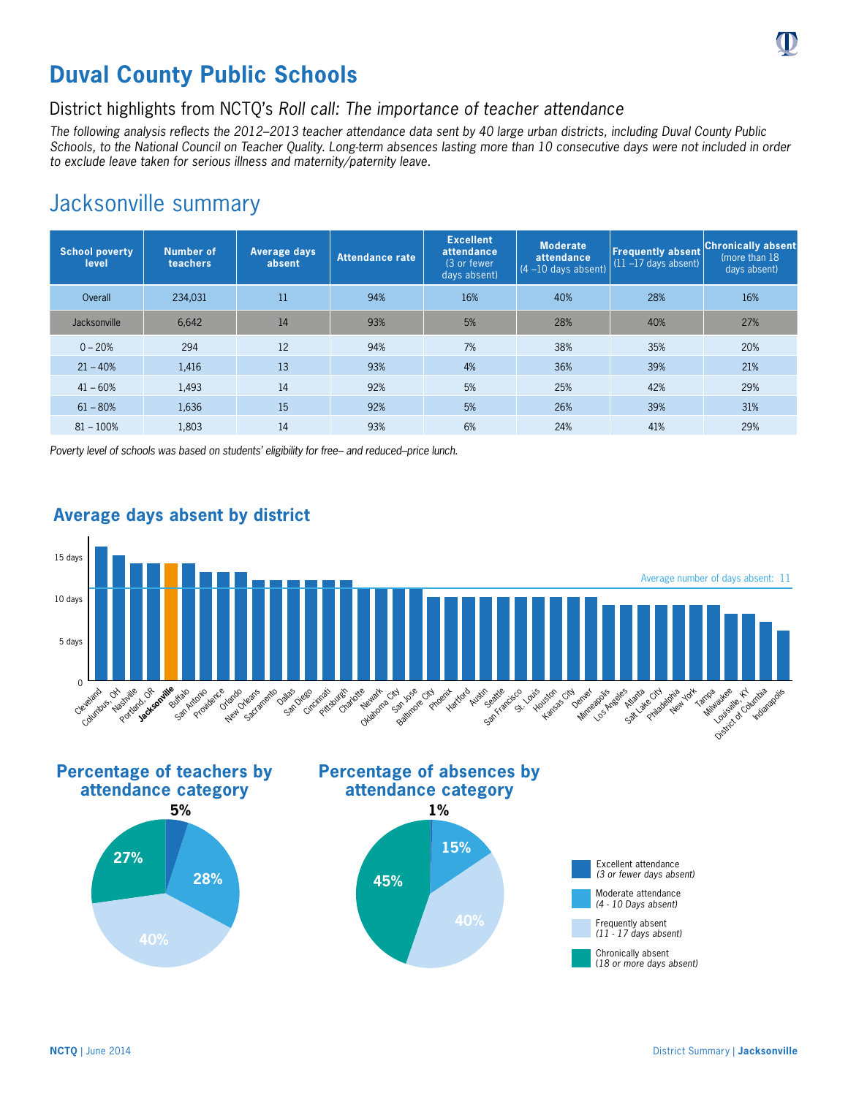

## District highlights from NCTQ's *Roll call: The importance of teacher attendance*

*The following analysis reflects the 2012–2013 teacher attendance data sent by 40 large urban districts, including Duval County Public Schools, to the National Council on Teacher Quality. Long-term absences lasting more than 10 consecutive days were not included in order to exclude leave taken for serious illness and maternity/paternity leave.*

## Jacksonville summary

| <b>School poverty</b><br>level | Number of<br>teachers | <b>Average days</b><br>absent | Attendance rate | <b>Excellent</b><br>attendance<br>(3 or fewer<br>days absent) | <b>Moderate</b><br>attendance<br>$(4 - 10$ days absent) | <b>Frequently absent</b><br>$(11 - 17$ days absent) | <b>Chronically absent</b><br>(more than 18)<br>days absent) |
|--------------------------------|-----------------------|-------------------------------|-----------------|---------------------------------------------------------------|---------------------------------------------------------|-----------------------------------------------------|-------------------------------------------------------------|
| Overall                        | 234,031               | 11                            | 94%             | 16%                                                           | 40%                                                     | 28%                                                 | 16%                                                         |
| Jacksonville                   | 6.642                 | 14                            | 93%             | 5%                                                            | 28%                                                     | 40%                                                 | 27%                                                         |
| $0 - 20%$                      | 294                   | 12                            | 94%             | 7%                                                            | 38%                                                     | 35%                                                 | 20%                                                         |
| $21 - 40%$                     | 1,416                 | 13                            | 93%             | 4%                                                            | 36%                                                     | 39%                                                 | 21%                                                         |
| $41 - 60%$                     | 1,493                 | 14                            | 92%             | 5%                                                            | 25%                                                     | 42%                                                 | 29%                                                         |
| $61 - 80%$                     | 1,636                 | 15                            | 92%             | 5%                                                            | 26%                                                     | 39%                                                 | 31%                                                         |
| $81 - 100%$                    | 1,803                 | 14                            | 93%             | 6%                                                            | 24%                                                     | 41%                                                 | 29%                                                         |

*Poverty level of schools was based on students' eligibility for free– and reduced–price lunch.*



## **Average days absent by district**